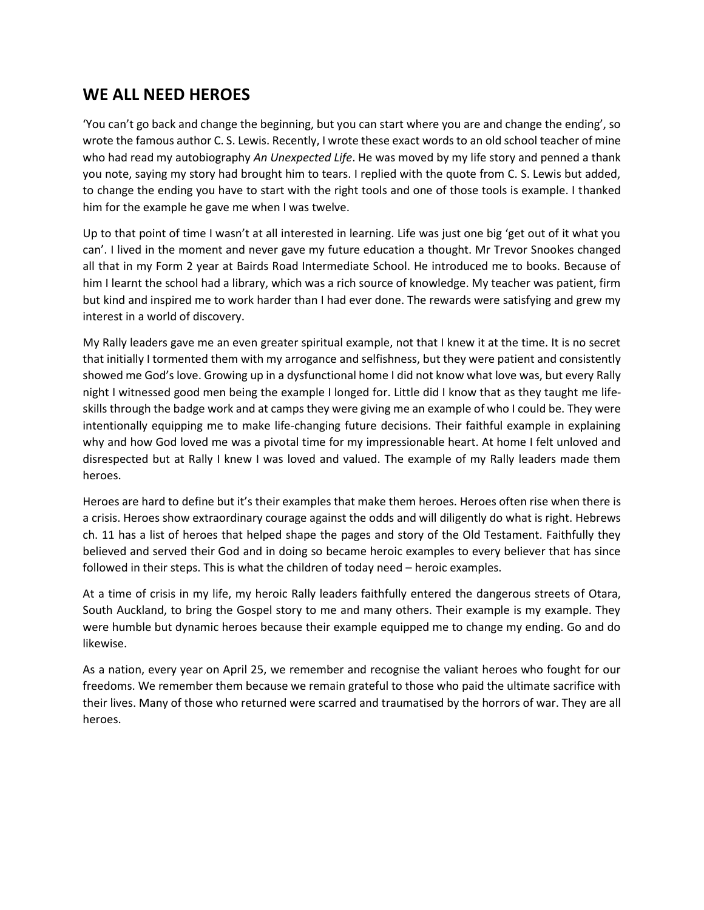## **WE ALL NEED HEROES**

'You can't go back and change the beginning, but you can start where you are and change the ending', so wrote the famous author C. S. Lewis. Recently, I wrote these exact words to an old school teacher of mine who had read my autobiography *An Unexpected Life*. He was moved by my life story and penned a thank you note, saying my story had brought him to tears. I replied with the quote from C. S. Lewis but added, to change the ending you have to start with the right tools and one of those tools is example. I thanked him for the example he gave me when I was twelve.

Up to that point of time I wasn't at all interested in learning. Life was just one big 'get out of it what you can'. I lived in the moment and never gave my future education a thought. Mr Trevor Snookes changed all that in my Form 2 year at Bairds Road Intermediate School. He introduced me to books. Because of him I learnt the school had a library, which was a rich source of knowledge. My teacher was patient, firm but kind and inspired me to work harder than I had ever done. The rewards were satisfying and grew my interest in a world of discovery.

My Rally leaders gave me an even greater spiritual example, not that I knew it at the time. It is no secret that initially I tormented them with my arrogance and selfishness, but they were patient and consistently showed me God's love. Growing up in a dysfunctional home I did not know what love was, but every Rally night I witnessed good men being the example I longed for. Little did I know that as they taught me lifeskills through the badge work and at camps they were giving me an example of who I could be. They were intentionally equipping me to make life-changing future decisions. Their faithful example in explaining why and how God loved me was a pivotal time for my impressionable heart. At home I felt unloved and disrespected but at Rally I knew I was loved and valued. The example of my Rally leaders made them heroes.

Heroes are hard to define but it's their examples that make them heroes. Heroes often rise when there is a crisis. Heroes show extraordinary courage against the odds and will diligently do what is right. Hebrews ch. 11 has a list of heroes that helped shape the pages and story of the Old Testament. Faithfully they believed and served their God and in doing so became heroic examples to every believer that has since followed in their steps. This is what the children of today need – heroic examples.

At a time of crisis in my life, my heroic Rally leaders faithfully entered the dangerous streets of Otara, South Auckland, to bring the Gospel story to me and many others. Their example is my example. They were humble but dynamic heroes because their example equipped me to change my ending. Go and do likewise.

As a nation, every year on April 25, we remember and recognise the valiant heroes who fought for our freedoms. We remember them because we remain grateful to those who paid the ultimate sacrifice with their lives. Many of those who returned were scarred and traumatised by the horrors of war. They are all heroes.